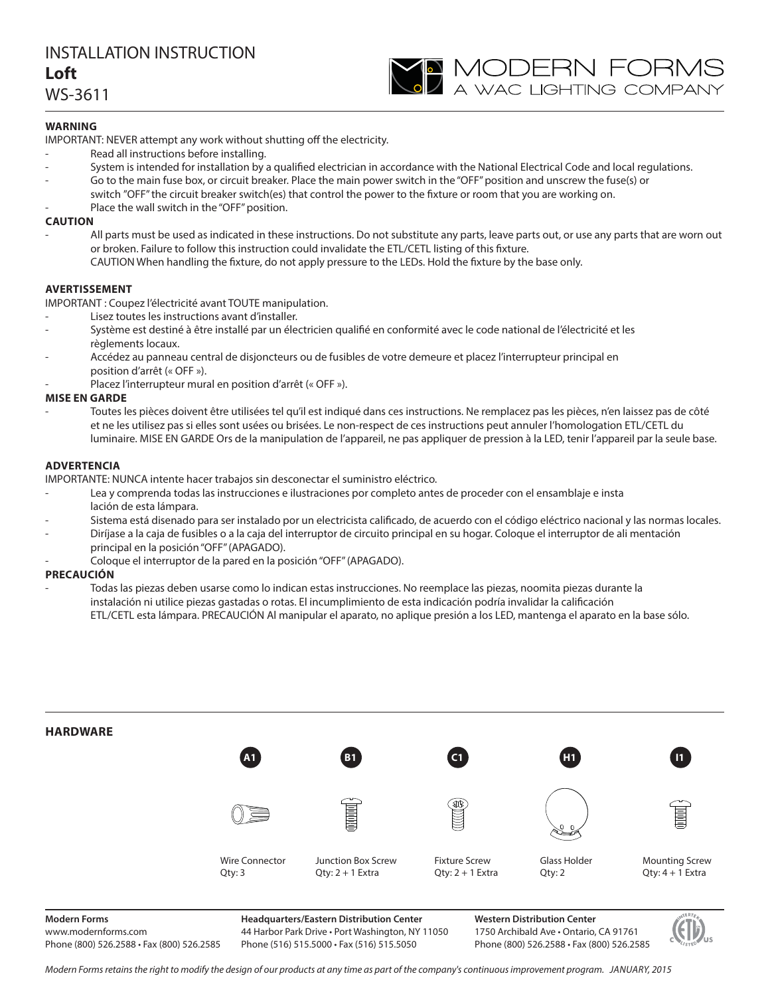# INSTALLATION INSTRUCTION I oft

**Loft** WS-3611

### **WARNING**

**IMPORTANT: NEVER attempt any work without shutting off the electricity.** 

- Read all instructions before installing.
- System is intended for installation by a qualified electrician in accordance with the National Electrical Code and local regulations.
- Go to the main fuse box, or circuit breaker. Place the main power switch in the "OFF" position and unscrew the fuse(s) or switch "OFF" the circuit breaker switch(es) that control the power to the fixture or room that you are working on.
- Place the wall switch in the "OFF" position.

**CAUTION** All parts must be used as indicated in these instructions. Do not substitute any parts, leave parts out, or use any parts that are worn out or broken. Failure to follow this instruction could invalidate the ETL/CETL listing of this fixture.

### CAUTION When handling the fixture, do not apply pressure to the LEDs. Hold the fixture by the base only.

**AVERTISSEMENT** IMPORTANT : Coupez l'électricité avant TOUTE manipulation.

- Lisez toutes les instructions avant d'installer.
- Système est destiné à être installé par un électricien qualifié en conformité avec le code national de l'électricité et les règlements locaux.
- Accédez au panneau central de disjoncteurs ou de fusibles de votre demeure et placez l'interrupteur principal en position d'arrêt (« OFF »).
- Placez l'interrupteur mural en position d'arrêt (« OFF »).

### **MISE EN GARDE**

-<br>Toutes les pièces doivent être utilisées tel qu'il est indiqué dans ces instructions. Ne remplacez pas les pièces, n'en laissez pas de côté et ne les utilisez pas si elles sont usées ou brisées. Le non-respect de ces instructions peut annuler l'homologation ETL/CETL du luminaire. MISE EN GARDE Ors de la manipulation de l'appareil, ne pas appliquer de pression à la LED, tenir l'appareil par la seule base.

### **ADVERTENCIA**

**IMPORTANTE: NUNCA intente hacer trabajos sin desconectar el suministro eléctrico.** 

- Lea y comprenda todas las instrucciones e ilustraciones por completo antes de proceder con el ensamblaje e insta lación de esta lámpara.
- Sistema está disenado para ser instalado por un electricista calificado, de acuerdo con el código eléctrico nacional y las normas locales.
- Diríjase a la caja de fusibles o a la caja del interruptor de circuito principal en su hogar. Coloque el interruptor de ali mentación principal en la posición "OFF" (APAGADO).
- Coloque el interruptor de la pared en la posición "OFF" (APAGADO).

- Todas las piezas deben usarse como lo indican estas instrucciones. No reemplace las piezas, noomita piezas durante la<br> instalación ni utilice piezas gastadas o rotas. El incumplimiento de esta indicación podría invalidar la calificación ETL/CETL esta lámpara. PRECAUCIÓN Al manipular el aparato, no aplique presión a los LED, mantenga el aparato en la base sólo.



**Modern Forms** www.modernforms.com Phone (800) 526.2588 • Fax (800) 526.2585

**Headquarters/Eastern Distribution Center** 44 Harbor Park Drive • Port Washington, NY 11050 Phone (516) 515.5000 • Fax (516) 515.5050

**Western Distribution Center**  1750 Archibald Ave • Ontario, CA 91761 Phone (800) 526.2588 • Fax (800) 526.2585

YO MODERN FORMS<br>A wac lighting company



Modern Forms retains the right to modify the design of our products at any time as part of the company's continuous improvement program. JANUARY, 2015